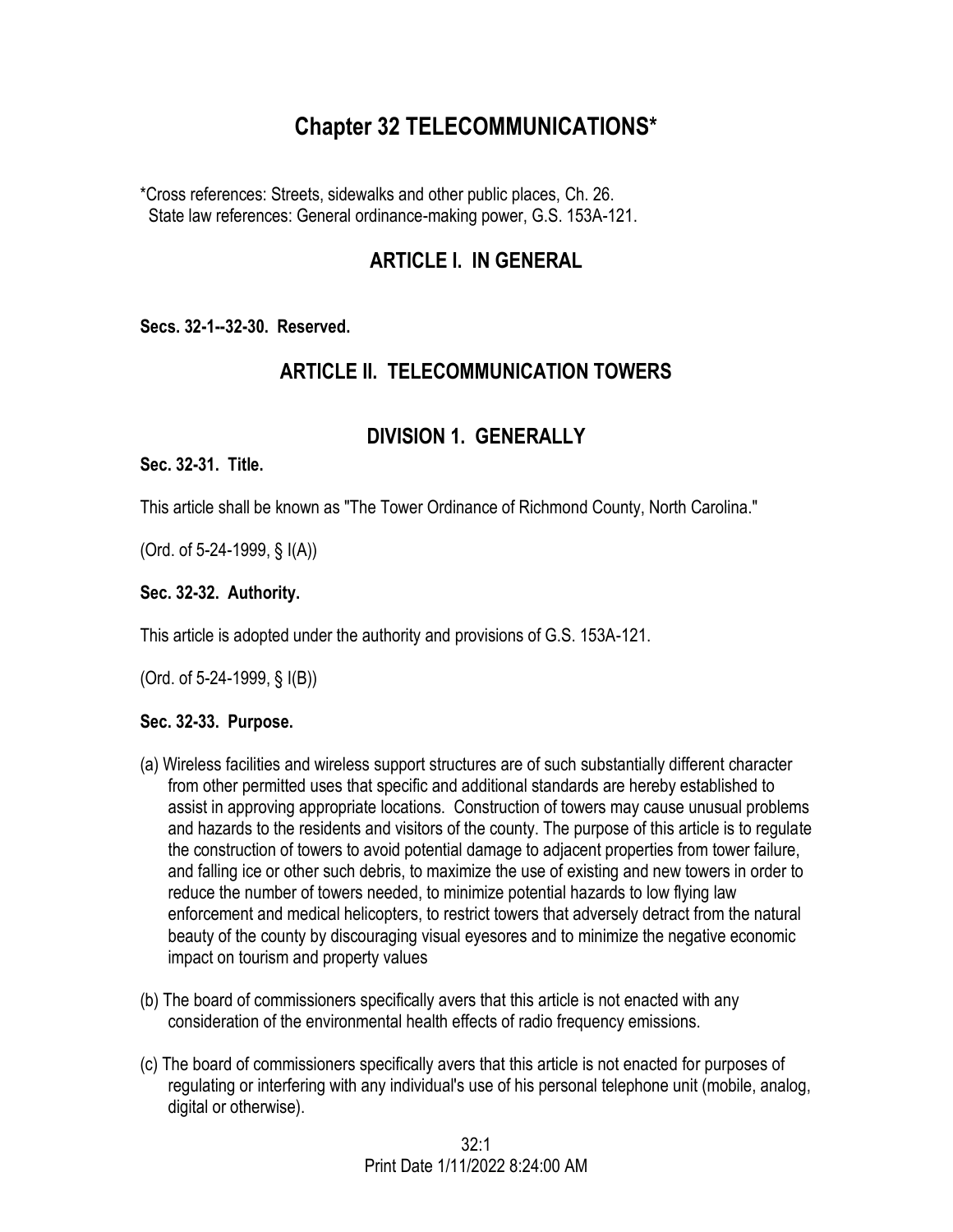# **Chapter 32 TELECOMMUNICATIONS\***

\*Cross references: Streets, sidewalks and other public places, Ch. 26. State law references: General ordinance-making power, G.S. 153A-121.

# **ARTICLE I. IN GENERAL**

**Secs. 32-1--32-30. Reserved.** 

# **ARTICLE II. TELECOMMUNICATION TOWERS**

# **DIVISION 1. GENERALLY**

#### **Sec. 32-31. Title.**

This article shall be known as "The Tower Ordinance of Richmond County, North Carolina."

(Ord. of 5-24-1999, § I(A))

#### **Sec. 32-32. Authority.**

This article is adopted under the authority and provisions of G.S. 153A-121.

(Ord. of 5-24-1999, § I(B))

#### **Sec. 32-33. Purpose.**

- (a) Wireless facilities and wireless support structures are of such substantially different character from other permitted uses that specific and additional standards are hereby established to assist in approving appropriate locations. Construction of towers may cause unusual problems and hazards to the residents and visitors of the county. The purpose of this article is to regulate the construction of towers to avoid potential damage to adjacent properties from tower failure, and falling ice or other such debris, to maximize the use of existing and new towers in order to reduce the number of towers needed, to minimize potential hazards to low flying law enforcement and medical helicopters, to restrict towers that adversely detract from the natural beauty of the county by discouraging visual eyesores and to minimize the negative economic impact on tourism and property values
- (b) The board of commissioners specifically avers that this article is not enacted with any consideration of the environmental health effects of radio frequency emissions.
- (c) The board of commissioners specifically avers that this article is not enacted for purposes of regulating or interfering with any individual's use of his personal telephone unit (mobile, analog, digital or otherwise).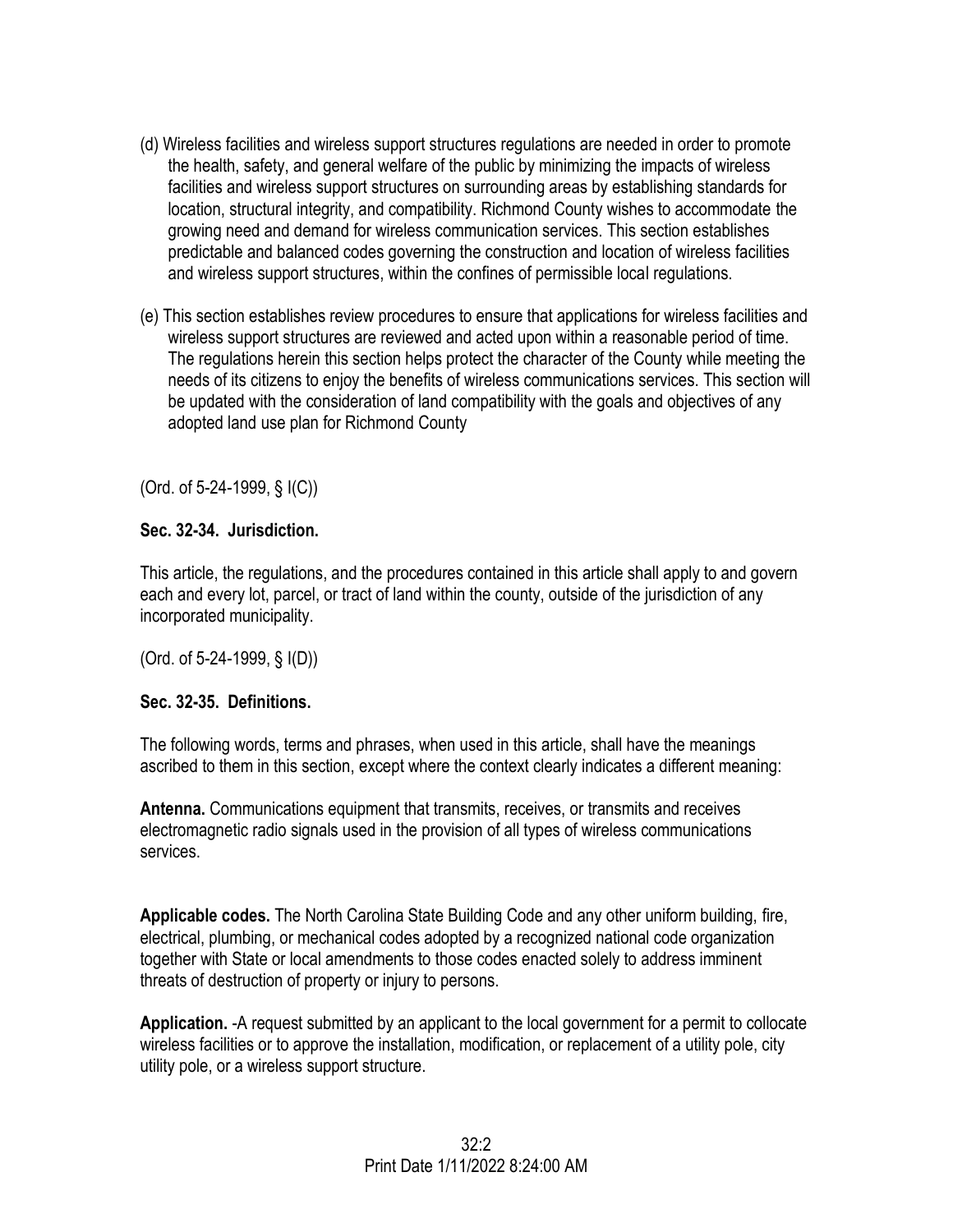- (d) Wireless facilities and wireless support structures regulations are needed in order to promote the health, safety, and general welfare of the public by minimizing the impacts of wireless facilities and wireless support structures on surrounding areas by establishing standards for location, structural integrity, and compatibility. Richmond County wishes to accommodate the growing need and demand for wireless communication services. This section establishes predictable and balanced codes governing the construction and location of wireless facilities and wireless support structures, within the confines of permissible local regulations.
- (e) This section establishes review procedures to ensure that applications for wireless facilities and wireless support structures are reviewed and acted upon within a reasonable period of time. The regulations herein this section helps protect the character of the County while meeting the needs of its citizens to enjoy the benefits of wireless communications services. This section will be updated with the consideration of land compatibility with the goals and objectives of any adopted land use plan for Richmond County

(Ord. of 5-24-1999, § I(C))

### **Sec. 32-34. Jurisdiction.**

This article, the regulations, and the procedures contained in this article shall apply to and govern each and every lot, parcel, or tract of land within the county, outside of the jurisdiction of any incorporated municipality.

(Ord. of 5-24-1999, § I(D))

## **Sec. 32-35. Definitions.**

The following words, terms and phrases, when used in this article, shall have the meanings ascribed to them in this section, except where the context clearly indicates a different meaning:

**Antenna.** Communications equipment that transmits, receives, or transmits and receives electromagnetic radio signals used in the provision of all types of wireless communications services.

**Applicable codes.** The North Carolina State Building Code and any other uniform building, fire, electrical, plumbing, or mechanical codes adopted by a recognized national code organization together with State or local amendments to those codes enacted solely to address imminent threats of destruction of property or injury to persons.

**Application.** -A request submitted by an applicant to the local government for a permit to collocate wireless facilities or to approve the installation, modification, or replacement of a utility pole, city utility pole, or a wireless support structure.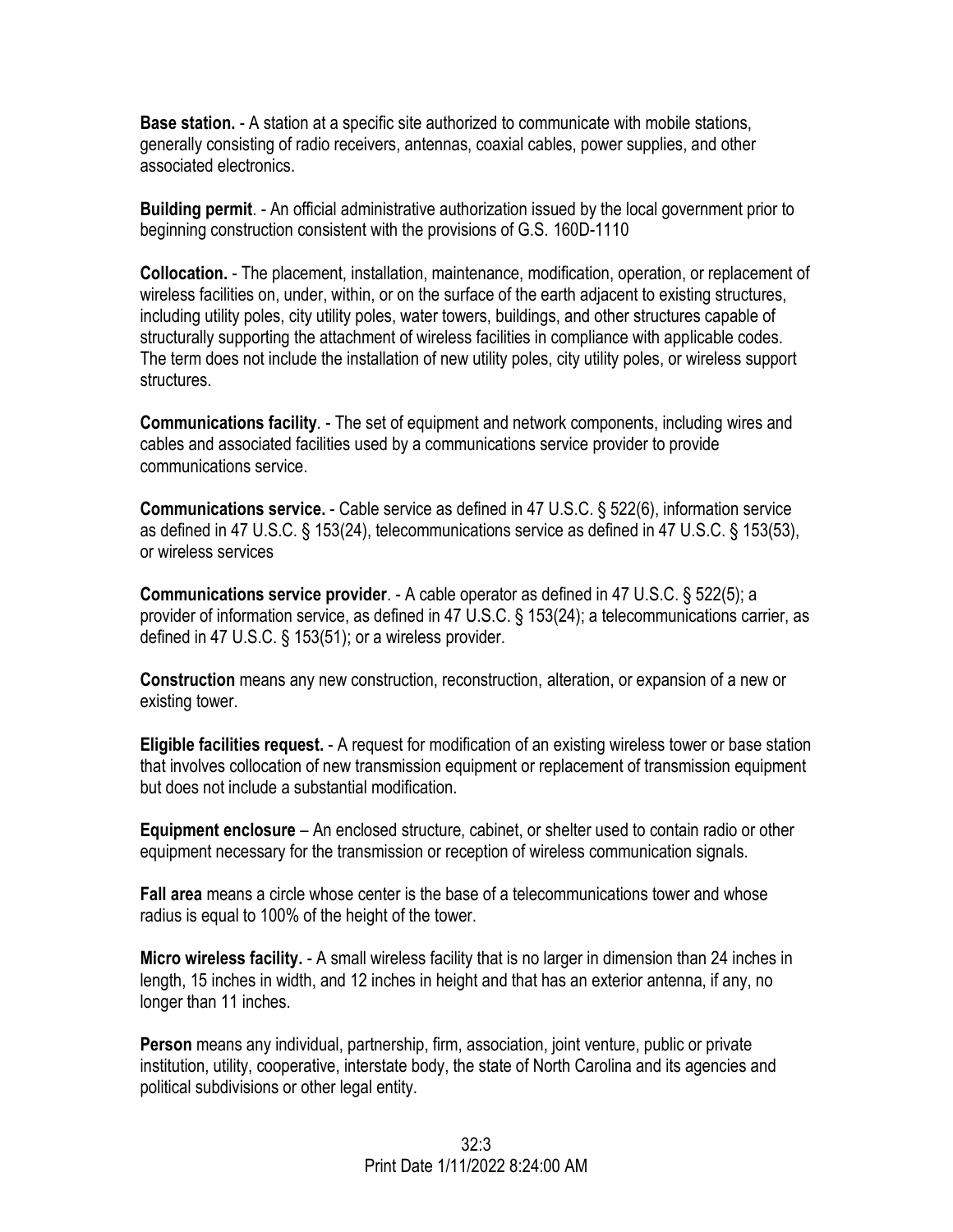**Base station.** - A station at a specific site authorized to communicate with mobile stations, generally consisting of radio receivers, antennas, coaxial cables, power supplies, and other associated electronics.

**Building permit**. - An official administrative authorization issued by the local government prior to beginning construction consistent with the provisions of G.S. 160D-1110

**Collocation.** - The placement, installation, maintenance, modification, operation, or replacement of wireless facilities on, under, within, or on the surface of the earth adjacent to existing structures, including utility poles, city utility poles, water towers, buildings, and other structures capable of structurally supporting the attachment of wireless facilities in compliance with applicable codes. The term does not include the installation of new utility poles, city utility poles, or wireless support structures.

**Communications facility***.* - The set of equipment and network components, including wires and cables and associated facilities used by a communications service provider to provide communications service.

**Communications service.** - Cable service as defined in 47 U.S.C. § 522(6), information service as defined in 47 U.S.C. § 153(24), telecommunications service as defined in 47 U.S.C. § 153(53), or wireless services

**Communications service provider**. - A cable operator as defined in 47 U.S.C. § 522(5); a provider of information service, as defined in 47 U.S.C. § 153(24); a telecommunications carrier, as defined in 47 U.S.C. § 153(51); or a wireless provider.

**Construction** means any new construction, reconstruction, alteration, or expansion of a new or existing tower.

**Eligible facilities request.** - A request for modification of an existing wireless tower or base station that involves collocation of new transmission equipment or replacement of transmission equipment but does not include a substantial modification.

**Equipment enclosure** – An enclosed structure, cabinet, or shelter used to contain radio or other equipment necessary for the transmission or reception of wireless communication signals.

**Fall area** means a circle whose center is the base of a telecommunications tower and whose radius is equal to 100% of the height of the tower.

**Micro wireless facility.** - A small wireless facility that is no larger in dimension than 24 inches in length, 15 inches in width, and 12 inches in height and that has an exterior antenna, if any, no longer than 11 inches.

**Person** means any individual, partnership, firm, association, joint venture, public or private institution, utility, cooperative, interstate body, the state of North Carolina and its agencies and political subdivisions or other legal entity.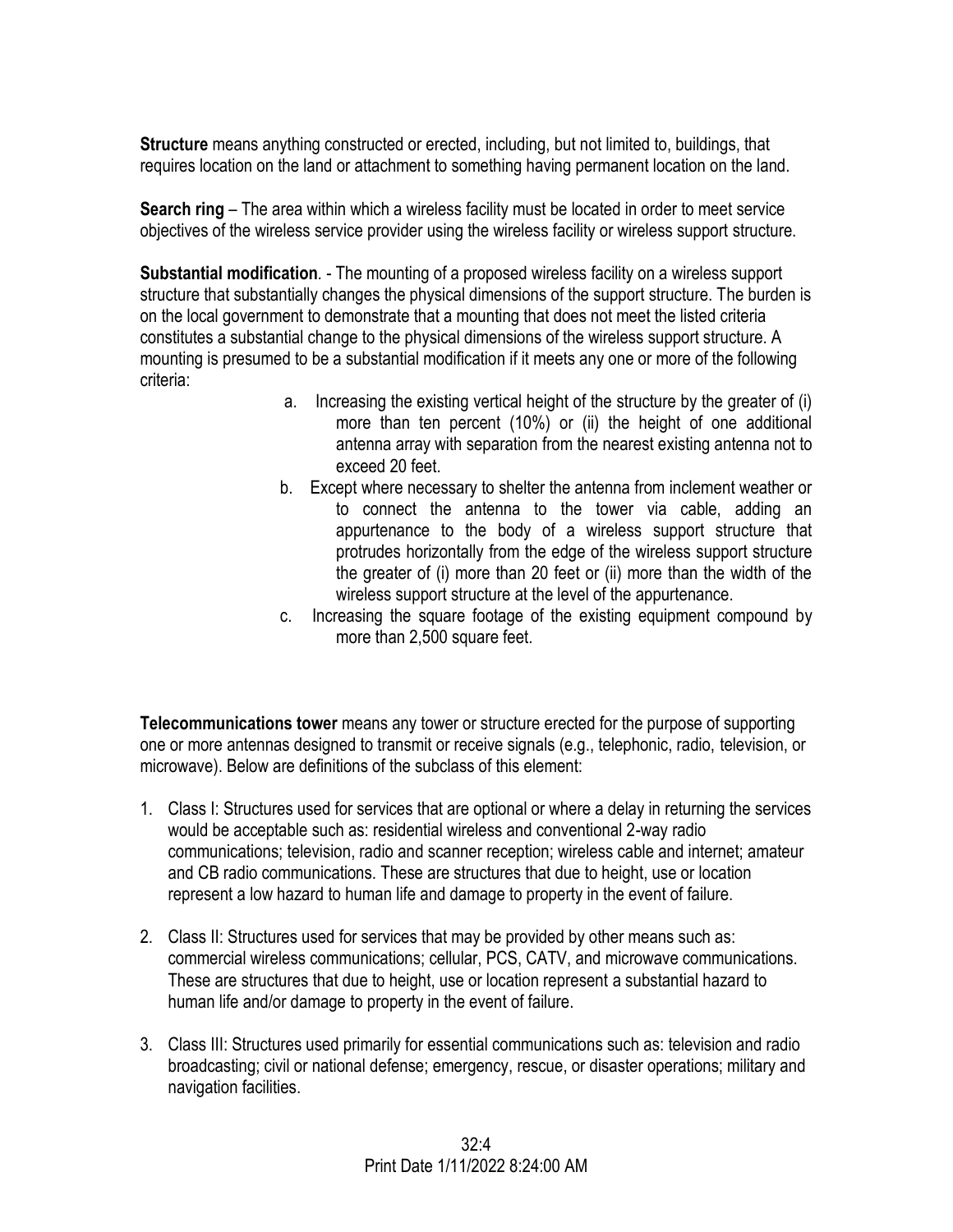**Structure** means anything constructed or erected, including, but not limited to, buildings, that requires location on the land or attachment to something having permanent location on the land.

**Search ring** – The area within which a wireless facility must be located in order to meet service objectives of the wireless service provider using the wireless facility or wireless support structure.

**Substantial modification***.* - The mounting of a proposed wireless facility on a wireless support structure that substantially changes the physical dimensions of the support structure. The burden is on the local government to demonstrate that a mounting that does not meet the listed criteria constitutes a substantial change to the physical dimensions of the wireless support structure. A mounting is presumed to be a substantial modification if it meets any one or more of the following criteria:

- a. Increasing the existing vertical height of the structure by the greater of (i) more than ten percent (10%) or (ii) the height of one additional antenna array with separation from the nearest existing antenna not to exceed 20 feet.
- b. Except where necessary to shelter the antenna from inclement weather or to connect the antenna to the tower via cable, adding an appurtenance to the body of a wireless support structure that protrudes horizontally from the edge of the wireless support structure the greater of (i) more than 20 feet or (ii) more than the width of the wireless support structure at the level of the appurtenance.
- c. Increasing the square footage of the existing equipment compound by more than 2,500 square feet.

**Telecommunications tower** means any tower or structure erected for the purpose of supporting one or more antennas designed to transmit or receive signals (e.g., telephonic, radio, television, or microwave). Below are definitions of the subclass of this element:

- 1. Class I: Structures used for services that are optional or where a delay in returning the services would be acceptable such as: residential wireless and conventional 2-way radio communications; television, radio and scanner reception; wireless cable and internet; amateur and CB radio communications. These are structures that due to height, use or location represent a low hazard to human life and damage to property in the event of failure.
- 2. Class II: Structures used for services that may be provided by other means such as: commercial wireless communications; cellular, PCS, CATV, and microwave communications. These are structures that due to height, use or location represent a substantial hazard to human life and/or damage to property in the event of failure.
- 3. Class III: Structures used primarily for essential communications such as: television and radio broadcasting; civil or national defense; emergency, rescue, or disaster operations; military and navigation facilities.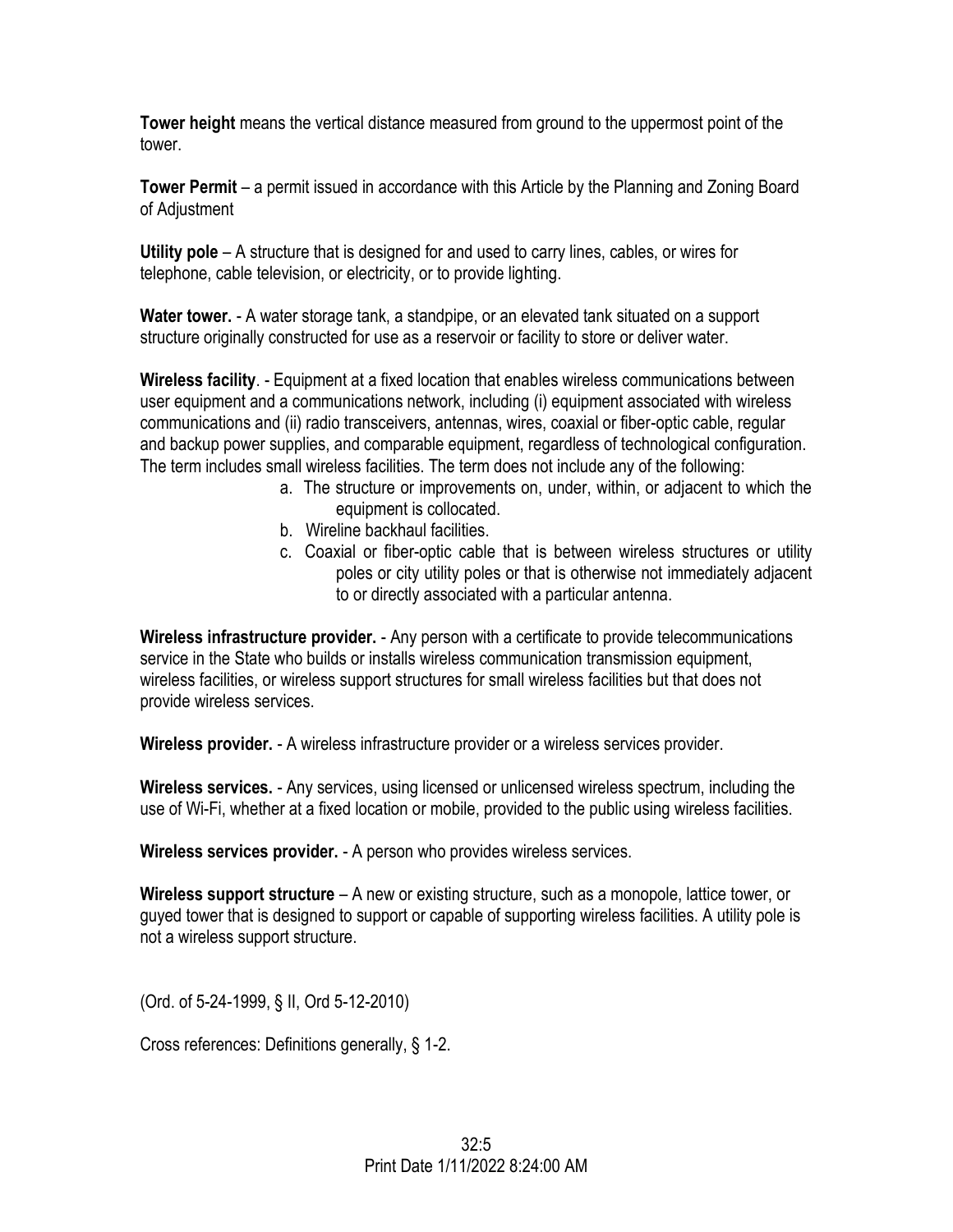**Tower height** means the vertical distance measured from ground to the uppermost point of the tower.

**Tower Permit** – a permit issued in accordance with this Article by the Planning and Zoning Board of Adjustment

**Utility pole** – A structure that is designed for and used to carry lines, cables, or wires for telephone, cable television, or electricity, or to provide lighting.

**Water tower.** - A water storage tank, a standpipe, or an elevated tank situated on a support structure originally constructed for use as a reservoir or facility to store or deliver water.

**Wireless facility**. - Equipment at a fixed location that enables wireless communications between user equipment and a communications network, including (i) equipment associated with wireless communications and (ii) radio transceivers, antennas, wires, coaxial or fiber-optic cable, regular and backup power supplies, and comparable equipment, regardless of technological configuration. The term includes small wireless facilities. The term does not include any of the following:

- a. The structure or improvements on, under, within, or adjacent to which the equipment is collocated.
- b. Wireline backhaul facilities.
- c. Coaxial or fiber-optic cable that is between wireless structures or utility poles or city utility poles or that is otherwise not immediately adjacent to or directly associated with a particular antenna.

**Wireless infrastructure provider.** - Any person with a certificate to provide telecommunications service in the State who builds or installs wireless communication transmission equipment, wireless facilities, or wireless support structures for small wireless facilities but that does not provide wireless services.

**Wireless provider.** - A wireless infrastructure provider or a wireless services provider.

**Wireless services.** - Any services, using licensed or unlicensed wireless spectrum, including the use of Wi-Fi, whether at a fixed location or mobile, provided to the public using wireless facilities.

**Wireless services provider.** - A person who provides wireless services.

**Wireless support structure** – A new or existing structure, such as a monopole, lattice tower, or guyed tower that is designed to support or capable of supporting wireless facilities. A utility pole is not a wireless support structure.

(Ord. of 5-24-1999, § II, Ord 5-12-2010)

Cross references: Definitions generally, § 1-2.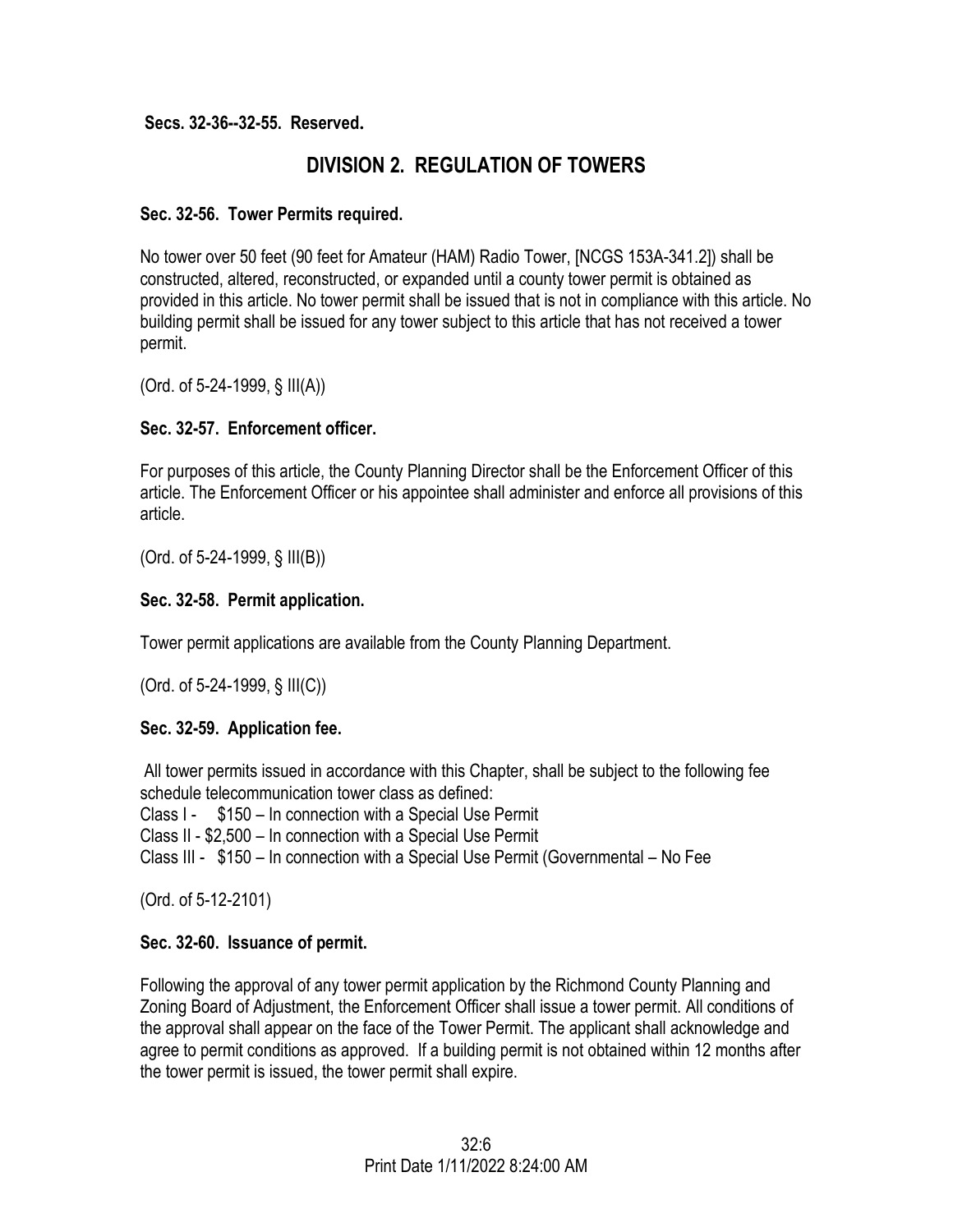**Secs. 32-36--32-55. Reserved.** 

# **DIVISION 2. REGULATION OF TOWERS**

#### **Sec. 32-56. Tower Permits required.**

No tower over 50 feet (90 feet for Amateur (HAM) Radio Tower, [NCGS 153A-341.2]) shall be constructed, altered, reconstructed, or expanded until a county tower permit is obtained as provided in this article. No tower permit shall be issued that is not in compliance with this article. No building permit shall be issued for any tower subject to this article that has not received a tower permit.

(Ord. of 5-24-1999, § III(A))

### **Sec. 32-57. Enforcement officer.**

For purposes of this article, the County Planning Director shall be the Enforcement Officer of this article. The Enforcement Officer or his appointee shall administer and enforce all provisions of this article.

(Ord. of 5-24-1999, § III(B))

### **Sec. 32-58. Permit application.**

Tower permit applications are available from the County Planning Department.

(Ord. of 5-24-1999, § III(C))

#### **Sec. 32-59. Application fee.**

All tower permits issued in accordance with this Chapter, shall be subject to the following fee schedule telecommunication tower class as defined: Class I - \$150 – In connection with a Special Use Permit Class II - \$2,500 – In connection with a Special Use Permit

Class III - \$150 – In connection with a Special Use Permit (Governmental – No Fee

(Ord. of 5-12-2101)

#### **Sec. 32-60. Issuance of permit.**

Following the approval of any tower permit application by the Richmond County Planning and Zoning Board of Adjustment, the Enforcement Officer shall issue a tower permit. All conditions of the approval shall appear on the face of the Tower Permit. The applicant shall acknowledge and agree to permit conditions as approved. If a building permit is not obtained within 12 months after the tower permit is issued, the tower permit shall expire.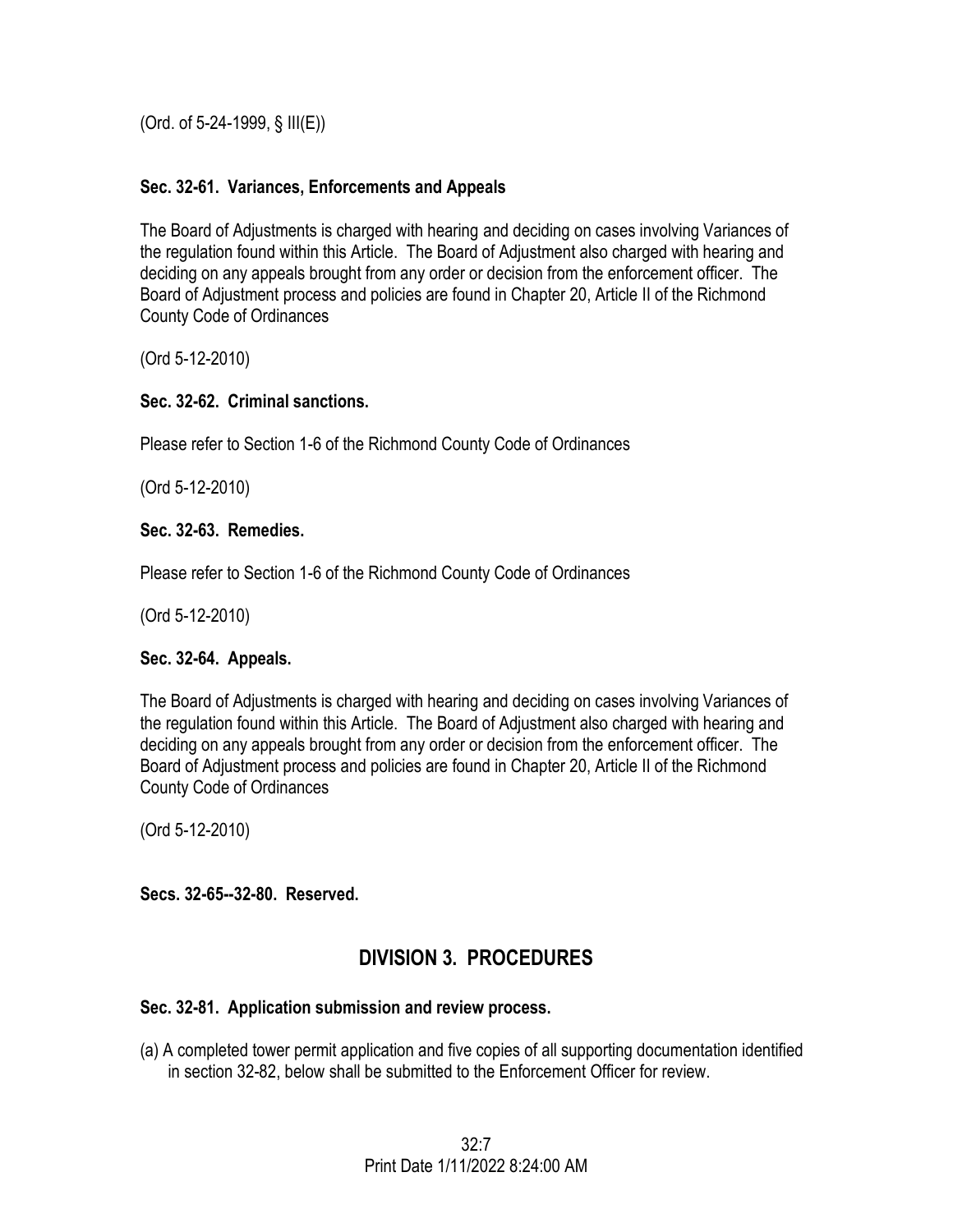(Ord. of 5-24-1999, § III(E))

#### **Sec. 32-61. Variances, Enforcements and Appeals**

The Board of Adjustments is charged with hearing and deciding on cases involving Variances of the regulation found within this Article. The Board of Adjustment also charged with hearing and deciding on any appeals brought from any order or decision from the enforcement officer. The Board of Adjustment process and policies are found in Chapter 20, Article II of the Richmond County Code of Ordinances

(Ord 5-12-2010)

#### **Sec. 32-62. Criminal sanctions.**

Please refer to Section 1-6 of the Richmond County Code of Ordinances

(Ord 5-12-2010)

#### **Sec. 32-63. Remedies.**

Please refer to Section 1-6 of the Richmond County Code of Ordinances

(Ord 5-12-2010)

#### **Sec. 32-64. Appeals.**

The Board of Adjustments is charged with hearing and deciding on cases involving Variances of the regulation found within this Article. The Board of Adjustment also charged with hearing and deciding on any appeals brought from any order or decision from the enforcement officer. The Board of Adjustment process and policies are found in Chapter 20, Article II of the Richmond County Code of Ordinances

(Ord 5-12-2010)

**Secs. 32-65--32-80. Reserved.** 

# **DIVISION 3. PROCEDURES**

## **Sec. 32-81. Application submission and review process.**

(a) A completed tower permit application and five copies of all supporting documentation identified in section 32-82, below shall be submitted to the Enforcement Officer for review.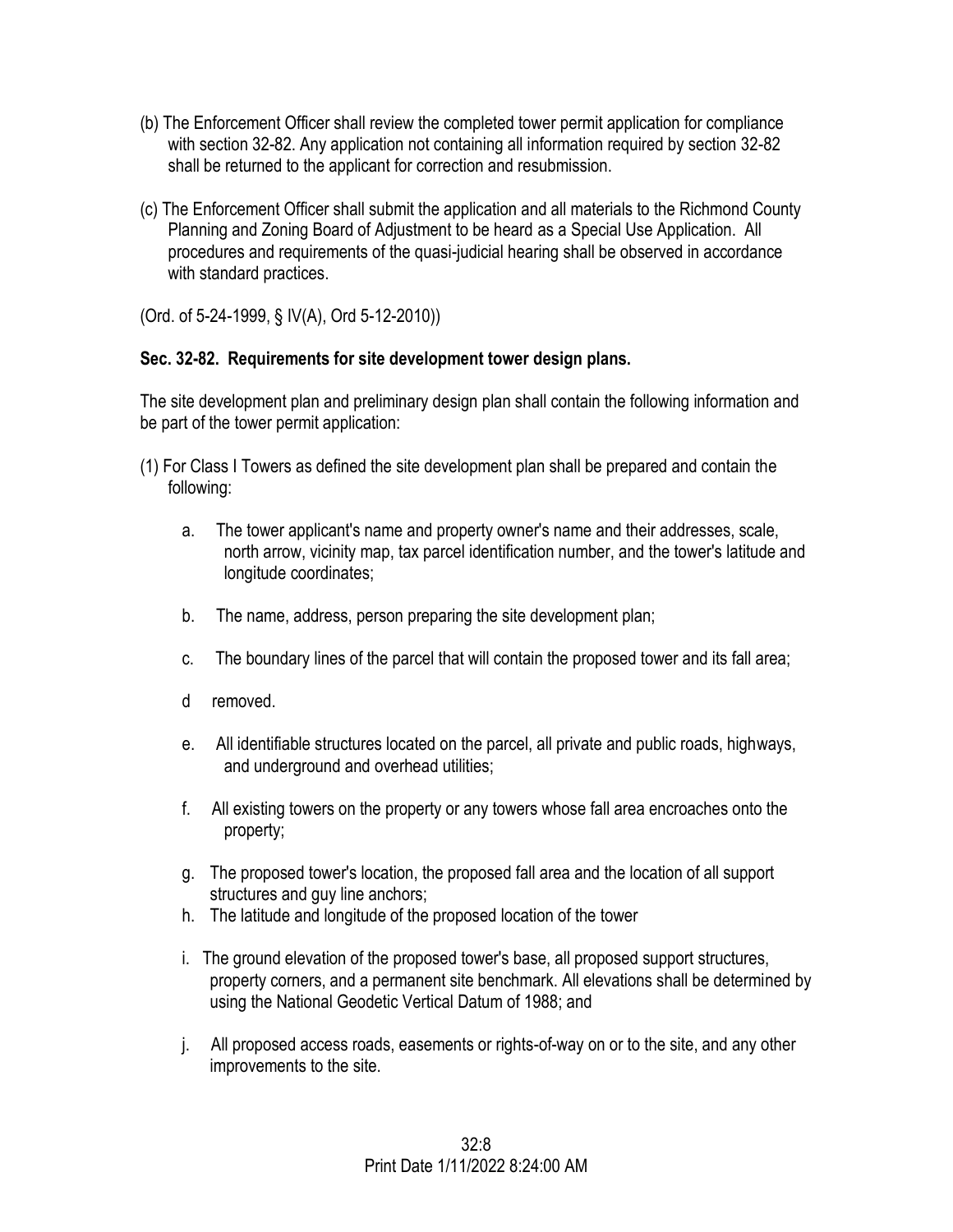- (b) The Enforcement Officer shall review the completed tower permit application for compliance with section 32-82. Any application not containing all information required by section 32-82 shall be returned to the applicant for correction and resubmission.
- (c) The Enforcement Officer shall submit the application and all materials to the Richmond County Planning and Zoning Board of Adjustment to be heard as a Special Use Application. All procedures and requirements of the quasi-judicial hearing shall be observed in accordance with standard practices.

(Ord. of 5-24-1999, § IV(A), Ord 5-12-2010))

### **Sec. 32-82. Requirements for site development tower design plans.**

The site development plan and preliminary design plan shall contain the following information and be part of the tower permit application:

- (1) For Class I Towers as defined the site development plan shall be prepared and contain the following:
	- a. The tower applicant's name and property owner's name and their addresses, scale, north arrow, vicinity map, tax parcel identification number, and the tower's latitude and longitude coordinates;
	- b. The name, address, person preparing the site development plan;
	- c. The boundary lines of the parcel that will contain the proposed tower and its fall area;
	- d removed.
	- e. All identifiable structures located on the parcel, all private and public roads, highways, and underground and overhead utilities;
	- f. All existing towers on the property or any towers whose fall area encroaches onto the property;
	- g. The proposed tower's location, the proposed fall area and the location of all support structures and guy line anchors;
	- h. The latitude and longitude of the proposed location of the tower
	- i. The ground elevation of the proposed tower's base, all proposed support structures, property corners, and a permanent site benchmark. All elevations shall be determined by using the National Geodetic Vertical Datum of 1988; and
	- j. All proposed access roads, easements or rights-of-way on or to the site, and any other improvements to the site.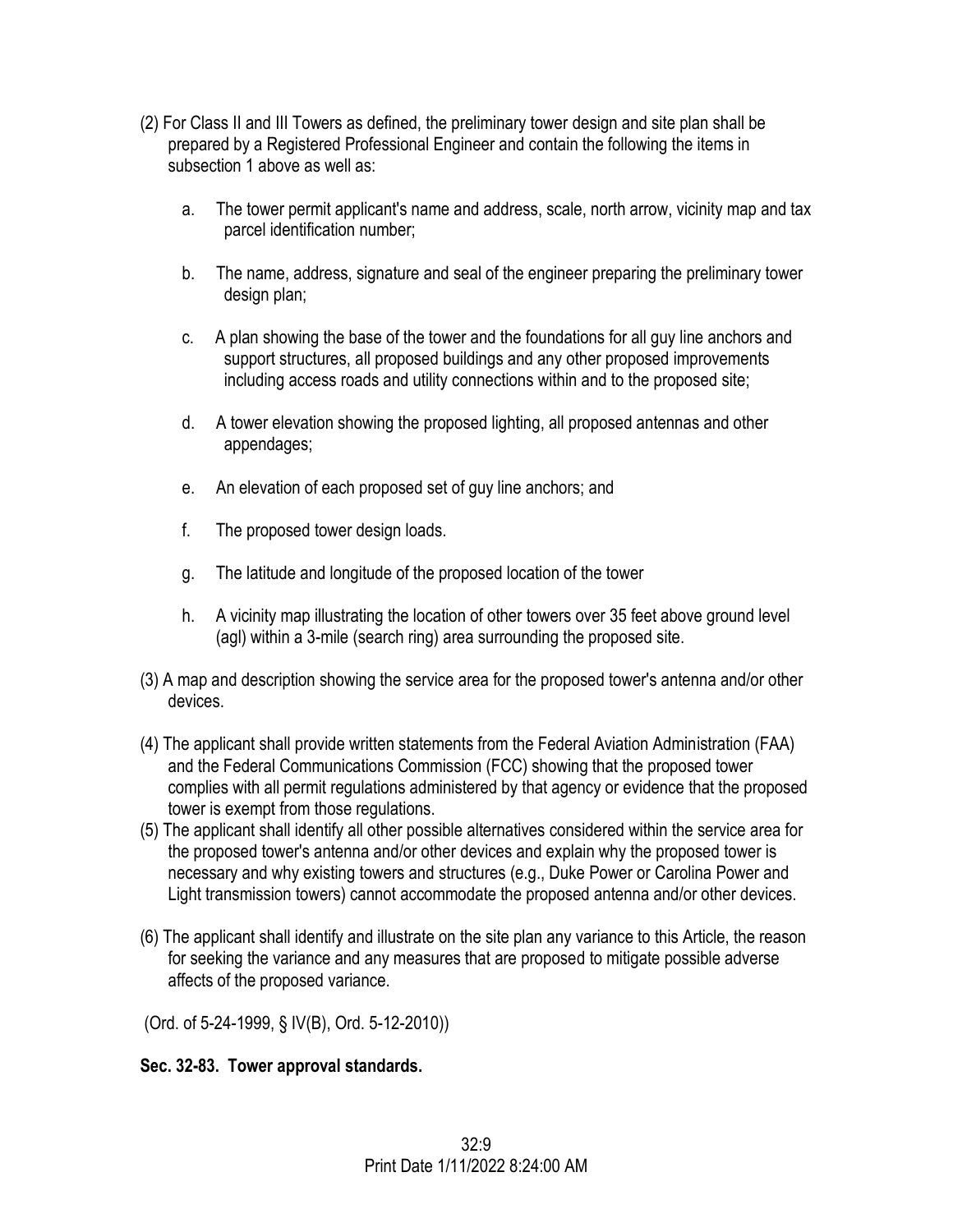- (2) For Class II and III Towers as defined, the preliminary tower design and site plan shall be prepared by a Registered Professional Engineer and contain the following the items in subsection 1 above as well as:
	- a. The tower permit applicant's name and address, scale, north arrow, vicinity map and tax parcel identification number;
	- b. The name, address, signature and seal of the engineer preparing the preliminary tower design plan;
	- c. A plan showing the base of the tower and the foundations for all guy line anchors and support structures, all proposed buildings and any other proposed improvements including access roads and utility connections within and to the proposed site;
	- d. A tower elevation showing the proposed lighting, all proposed antennas and other appendages;
	- e. An elevation of each proposed set of guy line anchors; and
	- f. The proposed tower design loads.
	- g. The latitude and longitude of the proposed location of the tower
	- h. A vicinity map illustrating the location of other towers over 35 feet above ground level (agl) within a 3-mile (search ring) area surrounding the proposed site.
- (3) A map and description showing the service area for the proposed tower's antenna and/or other devices.
- (4) The applicant shall provide written statements from the Federal Aviation Administration (FAA) and the Federal Communications Commission (FCC) showing that the proposed tower complies with all permit regulations administered by that agency or evidence that the proposed tower is exempt from those regulations.
- (5) The applicant shall identify all other possible alternatives considered within the service area for the proposed tower's antenna and/or other devices and explain why the proposed tower is necessary and why existing towers and structures (e.g., Duke Power or Carolina Power and Light transmission towers) cannot accommodate the proposed antenna and/or other devices.
- (6) The applicant shall identify and illustrate on the site plan any variance to this Article, the reason for seeking the variance and any measures that are proposed to mitigate possible adverse affects of the proposed variance.

(Ord. of 5-24-1999, § IV(B), Ord. 5-12-2010))

#### **Sec. 32-83. Tower approval standards.**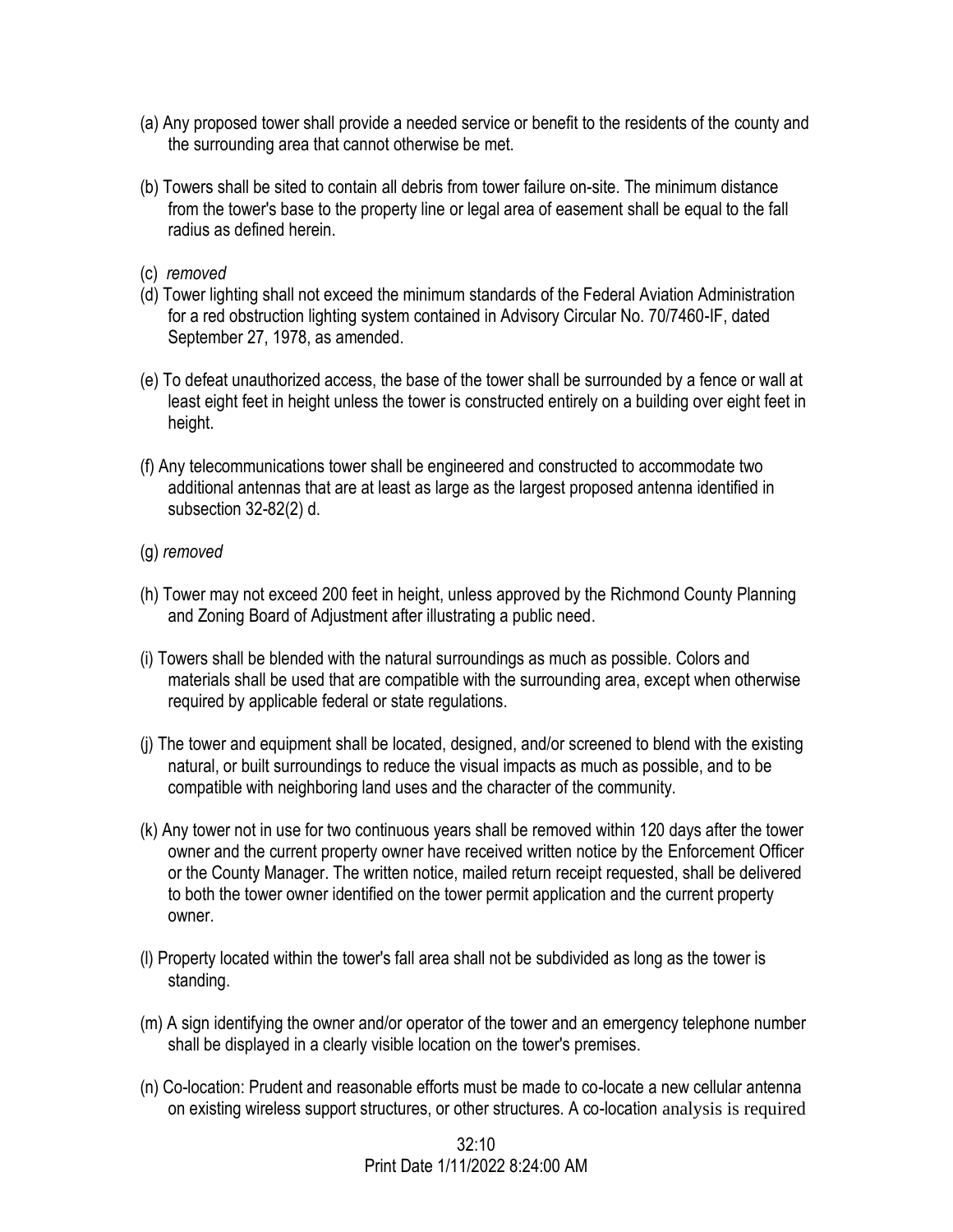- (a) Any proposed tower shall provide a needed service or benefit to the residents of the county and the surrounding area that cannot otherwise be met.
- (b) Towers shall be sited to contain all debris from tower failure on-site. The minimum distance from the tower's base to the property line or legal area of easement shall be equal to the fall radius as defined herein.
- (c) *removed*
- (d) Tower lighting shall not exceed the minimum standards of the Federal Aviation Administration for a red obstruction lighting system contained in Advisory Circular No. 70/7460-IF, dated September 27, 1978, as amended.
- (e) To defeat unauthorized access, the base of the tower shall be surrounded by a fence or wall at least eight feet in height unless the tower is constructed entirely on a building over eight feet in height.
- (f) Any telecommunications tower shall be engineered and constructed to accommodate two additional antennas that are at least as large as the largest proposed antenna identified in subsection 32-82(2) d.

#### (g) *removed*

- (h) Tower may not exceed 200 feet in height, unless approved by the Richmond County Planning and Zoning Board of Adjustment after illustrating a public need.
- (i) Towers shall be blended with the natural surroundings as much as possible. Colors and materials shall be used that are compatible with the surrounding area, except when otherwise required by applicable federal or state regulations.
- (j) The tower and equipment shall be located, designed, and/or screened to blend with the existing natural, or built surroundings to reduce the visual impacts as much as possible, and to be compatible with neighboring land uses and the character of the community.
- (k) Any tower not in use for two continuous years shall be removed within 120 days after the tower owner and the current property owner have received written notice by the Enforcement Officer or the County Manager. The written notice, mailed return receipt requested, shall be delivered to both the tower owner identified on the tower permit application and the current property owner.
- (l) Property located within the tower's fall area shall not be subdivided as long as the tower is standing.
- (m) A sign identifying the owner and/or operator of the tower and an emergency telephone number shall be displayed in a clearly visible location on the tower's premises.
- (n) Co-location: Prudent and reasonable efforts must be made to co-locate a new cellular antenna on existing wireless support structures, or other structures. A co-location analysis is required

 $32.10$ Print Date 1/11/2022 8:24:00 AM